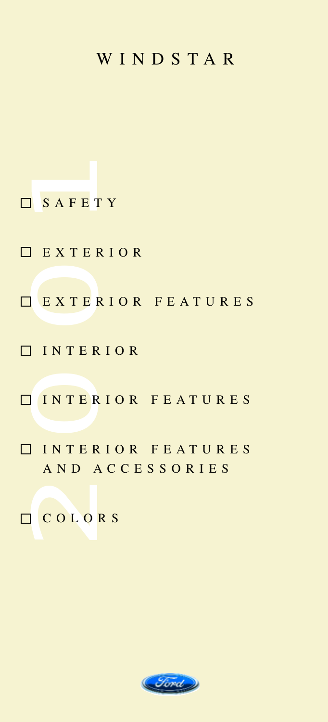#### WINDSTAR

O SAFETY<br>
O EXTERI<br>
O EXTERI<br>
O INTERI<br>
O INTERI<br>
AND AC<br>
O COLORS EXTERIOR **EXTERIOR FEATURES** INTERIOR INTERIOR FEATURES INTERIOR FEATURES AND ACCESSORIES COLORS

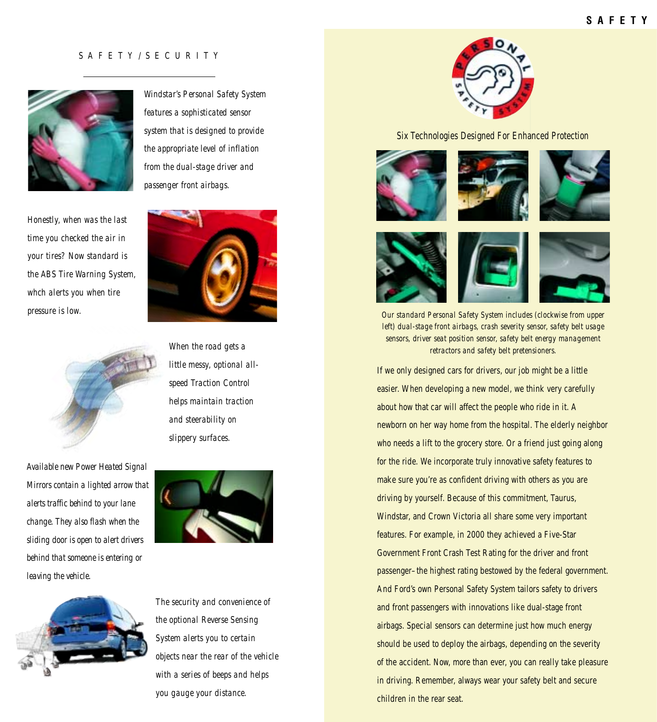#### SAFETY/SECURITY

<span id="page-1-0"></span>

*Honestly, when was the last time you checked the air in your tires? Now standard is the ABS Tire Warning System, whch alerts you when tire pressure is low.* 



*Available new Power Heated Signal Mirrors contain a lighted arrow that alerts traffic behind to your lane change. They also flash when the sliding door is open to alert drivers behind that someone is entering or leaving the vehicle.* 



*Windstar's Personal Safety System features a sophisticated sensor system that is designed to provide the appropriate level of inflation from the dual-stage driver and passenger front airbags.* 



*When the road gets a little messy, optional allspeed Traction Control helps maintain traction and steerability on slippery surfaces.* 



*The security and convenience of the optional Reverse Sensing System alerts you to certain objects near the rear of the vehicle with a series of beeps and helps you gauge your distance.*



Six Technologies Designed For Enhanced Protection



*Our standard Personal Safety System includes (clockwise from upper left) dual-stage front airbags, crash severity sensor, safety belt usage sensors, driver seat position sensor, safety belt energy management retractors and safety belt pretensioners.* 

If we only designed cars for drivers, our job might be a little easier. When developing a new model, we think very carefully about how that car will affect the people who ride in it. A newborn on her way home from the hospital. The elderly neighbor who needs a lift to the grocery store. Or a friend just going along for the ride. We incorporate truly innovative safety features to make sure you're as confident driving with others as you are driving by yourself. Because of this commitment, Taurus, Windstar, and Crown Victoria all share some very important features. For example, in 2000 they achieved a Five-Star Government Front Crash Test Rating for the driver and front passenger–the highest rating bestowed by the federal government. And Ford's own Personal Safety System tailors safety to drivers and front passengers with innovations like dual-stage front airbags. Special sensors can determine just how much energy should be used to deploy the airbags, depending on the severity of the accident. Now, more than ever, you can really take pleasure in driving. Remember, always wear your safety belt and secure children in the rear seat.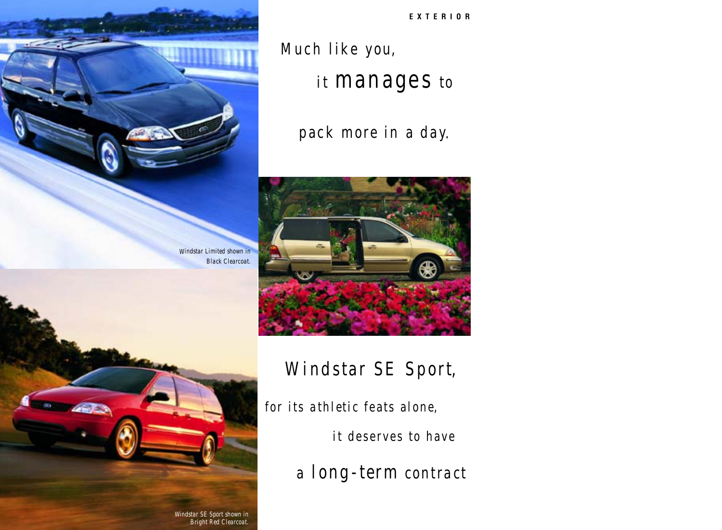**EXTERIOR**

# <span id="page-2-0"></span>Much like you,

*Windstar Limited shown in Black Clearcoat.*

## it manages to

pack *more* in a day.



### Windstar SE Sport,

for its *athletic* feats alone,

it deserves to have

*a long-term contract*

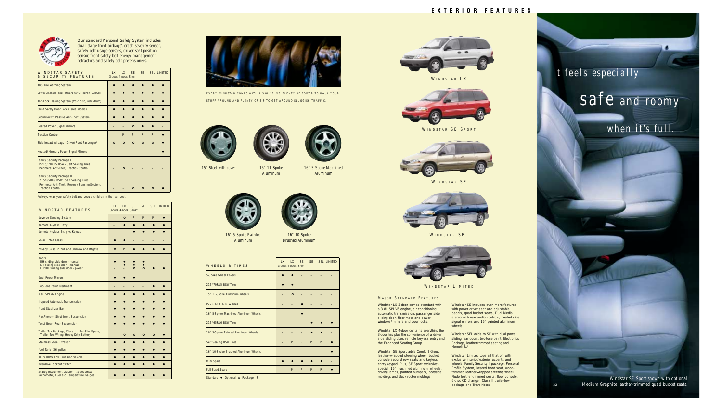<span id="page-3-0"></span>

*Our standard Personal Safety System includes dual-stage front airbags\* , crash severity sensor, safety belt usage sensors, driver seat position sensor, front safety belt energy management retractors and safety belt pretensioners.* 

| WINDSTAR SAFFTY<br>& SECURITY FEATURES                                                                                                              | $\overline{X}$ | $\overline{X}$<br>3-DOOR 4-DOOR SPORT | <b>SF</b> | <b>SF</b> |         | SFI IMITED |
|-----------------------------------------------------------------------------------------------------------------------------------------------------|----------------|---------------------------------------|-----------|-----------|---------|------------|
| <b>ABS Tire Warning System</b>                                                                                                                      |                |                                       |           |           |         |            |
| Lower Anchors and Tethers for CHildren (LATCH)                                                                                                      |                |                                       |           |           |         |            |
| Anti-Lock Braking System (front disc, rear drum)                                                                                                    |                |                                       |           |           |         |            |
| Child Safety Door Locks (rear doors)                                                                                                                |                |                                       |           |           |         |            |
| SecuriLock™ Passive Anti-Theft System                                                                                                               |                |                                       |           |           |         |            |
| <b>Heated Power Signal Mirrors</b>                                                                                                                  |                |                                       | Ο         |           |         |            |
| <b>Traction Control</b>                                                                                                                             |                | P                                     | P         | P         | P       |            |
| Side Impact Airbags - Driver/Front Passenger*                                                                                                       | $\circ$        | $\circ$                               | $\circ$   | $\circ$   | $\circ$ |            |
| Heated/Memory Power Signal Mirrors                                                                                                                  |                |                                       |           |           |         |            |
| <b>Family Security Package I</b><br>P215/70R15 BSW - Self Sealing Tires<br>Perimeter Anti-Theft, Traction Control                                   |                | Ο                                     |           |           |         |            |
| <b>Family Security Package II</b><br>215/65R16 BSW - Self Sealing Tires<br>Perimeter Anti-Theft, Reverse Sensing System,<br><b>Traction Control</b> |                |                                       |           |           |         |            |

\*Always wear your safety belt and secure children in the rear seat.

| WINDSTAR FEATURES                                                                                          | $\overline{X}$ | $\overline{1}$<br>3-DOOR 4-DOOR SPORT | <b>SF</b> | <b>SF</b> |         | <b>SEL LIMITED</b> |
|------------------------------------------------------------------------------------------------------------|----------------|---------------------------------------|-----------|-----------|---------|--------------------|
| <b>Reverse Sensing System</b>                                                                              | -              | $\circ$                               | P         | P         | P       | a                  |
| Remote Keyless Entry                                                                                       |                |                                       |           | 0         | o       |                    |
| Remote Keyless Entry w/Keypad                                                                              | -              |                                       |           |           |         |                    |
| <b>Solar Tinted Glass</b>                                                                                  |                |                                       |           |           |         |                    |
| Privacy Glass in 2nd and 3rd row and liftgate                                                              | $\circ$        | P                                     |           |           |         |                    |
| Doors<br>RH sliding side door - manual<br>LH sliding side door - manual<br>LH/RH sliding side door - power |                |                                       | Ō         | $\Omega$  |         |                    |
| <b>Dual Power Mirrors</b>                                                                                  |                |                                       |           |           |         |                    |
| <b>Two-Tone Paint Treatment</b>                                                                            |                |                                       |           |           |         |                    |
| 3.8L SPI V6 Engine                                                                                         | $\bullet$      |                                       |           |           |         | a                  |
| 4-speed Automatic Transmission                                                                             |                |                                       |           |           |         |                    |
| <b>Front Stabilizer Bar</b>                                                                                |                |                                       |           |           |         |                    |
| MacPherson Strut Front Suspension                                                                          | ۰              |                                       |           |           |         |                    |
| <b>Twist Beam Rear Suspension</b>                                                                          |                |                                       |           |           |         |                    |
| Trailer Tow Package, Class II - Full-Size Spare,<br>Trailer Tow Wiring, Heavy Duty Battery                 | -              | $\circ$                               | $\circ$   | O         | $\circ$ |                    |
| <b>Stainless Steel Exhaust</b>                                                                             | c              |                                       | e         | $\bullet$ | o       | ۰                  |
| Fuel Tank - 26 gallon                                                                                      |                |                                       |           | ۰         | c       |                    |
| <b>ULEV (Ultra Low Emission Vehicle)</b>                                                                   |                |                                       |           |           |         |                    |
| Overdrive Lockout Switch                                                                                   |                |                                       |           |           |         |                    |
| Analog Instrument Cluster - Speedometer,<br>Tachometer, Fuel and Temperature Gauges                        |                |                                       |           |           |         |                    |



EVERY WINDSTAR COMES WITH A 3.8L SPI V6. PLENTY OF POWER TO HAUL YOUR STUFF AROUND AND PLENTY OF ZIP TO GET AROUND SLUGGISH TRAFFIC.







*16" 5-Spoke Machined Aluminum*



*16" 5-Spoke Painted Aluminum* 

 $\equiv$  $\frac{1}{2}$  $\equiv$  $\equiv$ 

 $\overline{\phantom{0}}$  $\frac{1}{2}$ 



| <b>WHEELS &amp; TIRES</b>            | $\overline{1}$ | $\overline{X}$<br>3-DOOR 4-DOOR SPORT | <b>SF</b> | <b>SE</b> |   | <b>SEL LIMITED</b> |
|--------------------------------------|----------------|---------------------------------------|-----------|-----------|---|--------------------|
| 5-Spoke Wheel Covers                 |                |                                       |           |           |   |                    |
| 215/70R15 BSW Tires                  |                |                                       |           |           |   |                    |
| 15" 11-Spoke Aluminum Wheels         |                | $\circ$                               |           |           |   |                    |
| P225/60R16 BSW Tires                 |                |                                       |           |           |   |                    |
| 16" 5-Spoke Machined Aluminum Wheels |                |                                       |           |           |   |                    |
| 215/65R16 BSW Tires                  |                |                                       |           |           |   |                    |
| 16" 5-Spoke Painted Aluminum Wheels  |                |                                       |           |           |   |                    |
| Self Sealing BSW Tires               |                | P                                     | P         | P         | P |                    |
| 16" 10-Spoke Brushed Aluminum Wheels |                |                                       |           |           |   |                    |
| Mini Spare                           |                |                                       |           |           |   |                    |
| <b>Full-Sized Spare</b>              |                | P                                     | P         | P         | P |                    |

Standard • Optional **o** Package **P** 



WINDSTAR LX



WINDSTAR SE SPORT



WINDSTAR SE



WINDSTAR SEL



WINDSTAR LIMITED

#### **MAJOR STANDARD FEATURES**

Windstar LX 3-door comes standard with a 3.8L SPI V6 engine, air conditioning, automatic transmission, passenger side sliding door, floor mats and power windows/mirrors and door locks.

Windstar LX 4-door contains everything the 3-door has plus the convenience of a driver side sliding door, remote keyless entry and the Enhanced Seating Group.

Windstar SE Sport adds Comfort Group, leather–wrapped steering wheel, bucket console second row seats and keyless entry keypad. Plus, SE Sport exclusives, special 16" machined aluminum wheels, driving lamps, painted bumpers, bodyside moldings and black rocker moldings.

Windstar SE includes even more features with power driver seat and adjustable pedals, quad bucket seats, Dual Media stereo with rear audio controls, heated side signal mirrors and 16" painted aluminum wheels.

Windstar SEL adds to SE with dual power sliding rear doors, two-tone paint, Electronics Package, leather-trimmed seating and Homelink.®

Windstar Limited tops all that off with exclusive interior/exterior accents and wheels, Family Security II package, Personal Profile System, heated front seat, woodtrimmed leather-wrapped steering wheel, Nudo leather-trimmed seats, floor console, 6-disc CD changer, Class II trailer-tow package and TravelNote®

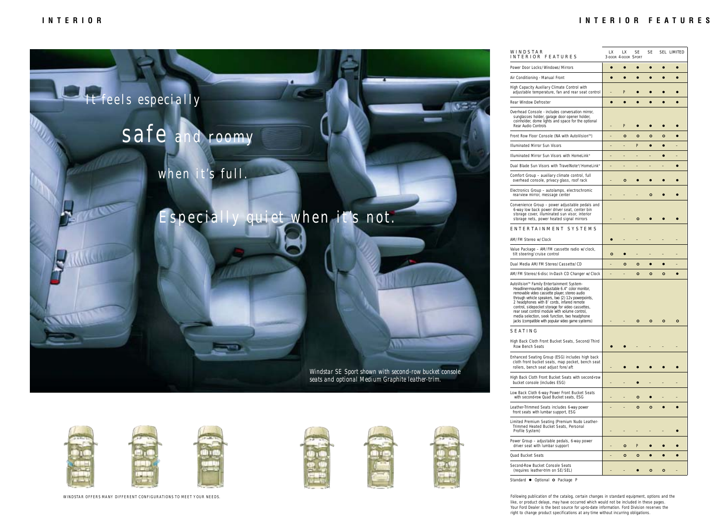<span id="page-4-0"></span>

*seats and optional Medium Graphite leather-trim.*



WINDSTAR OFFERS MANY DIFFERENT CONFIGURATIONS TO MEET YOUR NEEDS.







| WINDSTAR<br>INTERIOR FEATURES                                                                                                                                                                                                                                                                                                                                                                                                                                 | LX<br>3-DOOR 4-DOOR SPORT | LX.     | SE      | SE      |         | SEL LIMITED |
|---------------------------------------------------------------------------------------------------------------------------------------------------------------------------------------------------------------------------------------------------------------------------------------------------------------------------------------------------------------------------------------------------------------------------------------------------------------|---------------------------|---------|---------|---------|---------|-------------|
| Power Door Locks/Windows/Mirrors                                                                                                                                                                                                                                                                                                                                                                                                                              | ۰                         |         |         |         |         |             |
| Air Conditioning - Manual Front                                                                                                                                                                                                                                                                                                                                                                                                                               |                           |         |         |         |         |             |
| High Capacity Auxiliary Climate Control with<br>adjustable temperature, fan and rear seat control                                                                                                                                                                                                                                                                                                                                                             |                           | P       |         |         |         |             |
| Rear Window Defroster                                                                                                                                                                                                                                                                                                                                                                                                                                         | $\bullet$                 |         | ۰       | c       |         |             |
| Overhead Console - includes conversation mirror,<br>sunglasses holder, garage door opener holder,<br>coinholder, dome lights and space for the optional<br>Rear Audio Controls                                                                                                                                                                                                                                                                                |                           | P       |         |         |         |             |
| Front Row Floor Console (NA with AutoVision™)                                                                                                                                                                                                                                                                                                                                                                                                                 |                           | $\circ$ | $\circ$ | $\circ$ | $\circ$ | $\bullet$   |
| Illuminated Mirror Sun Visors                                                                                                                                                                                                                                                                                                                                                                                                                                 |                           |         | P       |         |         |             |
| Illuminated Mirror Sun Visors with HomeLink®                                                                                                                                                                                                                                                                                                                                                                                                                  |                           |         | -       |         |         |             |
| Dual Blade Sun Visors with TravelNote®/HomeLink®                                                                                                                                                                                                                                                                                                                                                                                                              |                           |         |         |         |         |             |
| Comfort Group - auxiliary climate control, full<br>overhead console, privacy glass, roof rack                                                                                                                                                                                                                                                                                                                                                                 |                           | $\circ$ |         |         |         |             |
| Electronics Group - autolamps, electrochromic<br>rearview mirror, message center                                                                                                                                                                                                                                                                                                                                                                              |                           |         |         | $\circ$ |         |             |
| Convenience Group - power adjustable pedals and<br>6-way low back power driver seat, center bin<br>storage cover, illuminated sun visor, interior<br>storage nets, power heated signal mirrors                                                                                                                                                                                                                                                                |                           |         | ۰       |         |         |             |
| E N T E R T A I N M E N T<br><b>SYSTEMS</b>                                                                                                                                                                                                                                                                                                                                                                                                                   |                           |         |         |         |         |             |
| AM/FM Stereo w/Clock                                                                                                                                                                                                                                                                                                                                                                                                                                          |                           |         |         |         |         |             |
| Value Package - AM/FM cassette radio w/clock,<br>tilt steering/cruise control                                                                                                                                                                                                                                                                                                                                                                                 | $\circ$                   |         |         |         |         |             |
| Dual Media AM/FM Stereo/Cassette/CD                                                                                                                                                                                                                                                                                                                                                                                                                           |                           | $\circ$ | ۰       | G       |         |             |
| AM/FM Stereo/6-disc In-Dash CD Changer w/Clock                                                                                                                                                                                                                                                                                                                                                                                                                |                           |         | ۰       | $\circ$ | o       |             |
| AutoVision™ Family Entertainment System-<br>Headliner-mounted adjustable 6.4" color monitor,<br>removable video cassette player, stereo audio<br>through vehicle speakers, two (2) 12v powerpoints,<br>2 headphones with 8' cords, infared remote<br>control, sidepocket storage for video cassettes,<br>rear seat control module with volume control,<br>media selection, seek function, two headphone<br>jacks (compatible with popular video game systems) |                           |         | ۰       | $\circ$ | o       | $\circ$     |
| <b>SEATING</b>                                                                                                                                                                                                                                                                                                                                                                                                                                                |                           |         |         |         |         |             |
| High Back Cloth Front Bucket Seats, Second/Third<br>Row Bench Seats                                                                                                                                                                                                                                                                                                                                                                                           |                           |         |         |         |         |             |
| Enhanced Seating Group (ESG) includes high back<br>cloth front bucket seats, map pocket, bench seat<br>rollers, bench seat adjust fore/aft                                                                                                                                                                                                                                                                                                                    |                           |         |         |         |         |             |
| High Back Cloth Front Bucket Seats with second-row<br>bucket console (includes ESG)                                                                                                                                                                                                                                                                                                                                                                           |                           |         |         |         |         |             |
| Low Back Cloth 6-way Power Front Bucket Seats<br>with second-row Quad Bucket seats, ESG                                                                                                                                                                                                                                                                                                                                                                       |                           |         | ۰       |         |         |             |
| Leather-Trimmed Seats includes 6-way power<br>front seats with lumbar support, ESG                                                                                                                                                                                                                                                                                                                                                                            |                           |         | o       | $\circ$ |         |             |
| Limited Premium Seating (Premium Nudo Leather-<br>Trimmed Heated Bucket Seats, Personal<br>Profile System)                                                                                                                                                                                                                                                                                                                                                    |                           |         |         |         |         |             |
| Power Group - adjustable pedals, 6-way power<br>driver seat with lumbar support                                                                                                                                                                                                                                                                                                                                                                               |                           | o       | P       |         |         |             |
| Quad Bucket Seats                                                                                                                                                                                                                                                                                                                                                                                                                                             | -                         | o       | o       |         |         |             |
| Second-Row Bucket Console Seats<br>(requires leather-trim on SE/SEL)                                                                                                                                                                                                                                                                                                                                                                                          |                           |         |         | ۰       | ۰       |             |

Standard • Optional **o** Package P

Following publication of the catalog, certain changes in standard equipment, options and the like, or product delays, may have occurred which would not be included in these pages. Your Ford Dealer is the best source for up-to-date information. Ford Division reserves the right to change product specifications at any time without incurring obligations.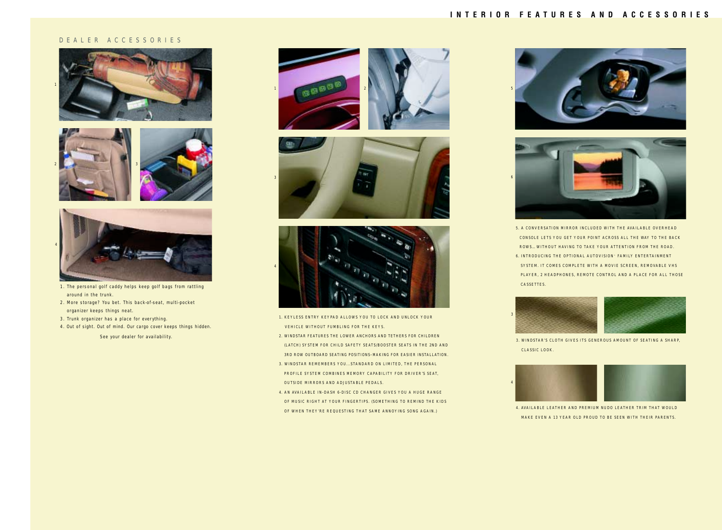#### **INTERIOR FEATURES AND ACCESSORIES**

#### <span id="page-5-0"></span>DEALER ACCESSORIES







- 1. The personal golf caddy helps keep golf bags from rattling around in the trunk.
- 2. More storage? You bet. This back-of-seat, multi-pocket organizer keeps things neat.
- 3. Trunk organizer has a place for everything.
- 4. Out of sight. Out of mind. Our cargo cover keeps things hidden.

See your dealer for availability.







- 1. KEYLESS ENTRY KEYPAD ALLOWS YOU TO LOCK AND UNLOCK YOUR VEHICLE WITHOUT FUMBLING FOR THE KEYS.
- 2. WINDSTAR FEATURES THE LOWER ANCHORS AND TETHERS FOR CHILDREN (LATCH) SYSTEM FOR CHILD SAFETY SEATS/BOOSTER SEATS IN THE 2ND AND 3RD ROW OUTBOARD SEATING POSITIONS–MAKING FOR EASIER INSTALLATION.
- 3. WINDSTAR REMEMBERS YOU...STANDARD ON LIMITED, THE PERSONAL PROFILE SYSTEM COMBINES MEMORY CAPABILITY FOR DRIVER'S SEAT, OUTSIDE MIRRORS AND ADJUSTABLE PEDALS.
- 4. AN AVAILABLE IN-DASH 6-DISC CD CHANGER GIVES YOU A HUGE RANGE OF MUSIC RIGHT AT YOUR FINGERTIPS. (SOMETHING TO REMIND THE KIDS OF WHEN THEY'RE REQUESTING THAT SAME ANNOYING SONG AGAIN.) 4. AVAILABLE LEATHER AND PREMIUM NUDO LEATHER TRIM THAT WOULD





5. A CONVERSATION MIRROR INCLUDED WITH THE AVAILABLE OVERHEAD CONSOLE LETS YOU GET YOUR POINT ACROSS ALL THE WAY TO THE BACK ROWS…WITHOUT HAVING TO TAKE YOUR ATTENTION FROM THE ROAD. 6. INTRODUCING THE OPTIONAL AUTOVISION™ FAMILY ENTERTAINMENT SYSTEM. IT COMES COMPLETE WITH A MOVIE SCREEN, REMOVABLE VHS PLAYER, 2 HEADPHONES, REMOTE CONTROL AND A PLACE FOR ALL THOSE CASSETTES.



3. WINDSTAR'S CLOTH GIVES ITS GENEROUS AMOUNT OF SEATING A SHARP, CLASSIC LOOK.



MAKE EVEN A 13 YEAR OLD PROUD TO BE SEEN WITH THEIR PARENTS.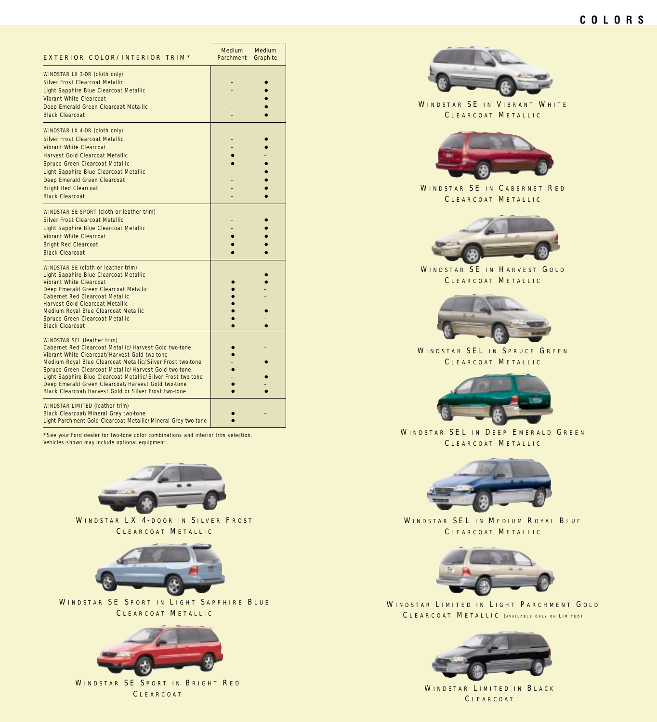<span id="page-6-0"></span>

| EXTERIOR COLOR/INTERIOR TRIM*                                                                                                                                                                                                                                                                                                                                                                                                                      | <b>Medium</b><br>Parchment | Medium<br>Graphite |
|----------------------------------------------------------------------------------------------------------------------------------------------------------------------------------------------------------------------------------------------------------------------------------------------------------------------------------------------------------------------------------------------------------------------------------------------------|----------------------------|--------------------|
| <b>WINDSTAR LX 3-DR (cloth only)</b><br>Silver Frost Clearcoat Metallic<br>Light Sapphire Blue Clearcoat Metallic<br>Vibrant White Clearcoat<br>Deep Emerald Green Clearcoat Metallic<br><b>Black Clearcoat</b>                                                                                                                                                                                                                                    | -                          |                    |
| <b>WINDSTAR LX 4-DR (cloth only)</b><br>Silver Frost Clearcoat Metallic<br><b>Vibrant White Clearcoat</b><br>Harvest Gold Clearcoat Metallic<br>Spruce Green Clearcoat Metallic<br>Light Sapphire Blue Clearcoat Metallic<br>Deep Emerald Green Clearcoat<br><b>Bright Red Clearcoat</b><br><b>Black Clearcoat</b>                                                                                                                                 |                            |                    |
| <b>WINDSTAR SE SPORT</b> (cloth or leather trim)<br><b>Silver Frost Clearcoat Metallic</b><br>Light Sapphire Blue Clearcoat Metallic<br>Vibrant White Clearcoat<br><b>Bright Red Clearcoat</b><br><b>Black Clearcoat</b>                                                                                                                                                                                                                           |                            |                    |
| <b>WINDSTAR SE</b> (cloth or leather trim)<br>Light Sapphire Blue Clearcoat Metallic<br>Vibrant White Clearcoat<br>Deep Emerald Green Clearcoat Metallic<br><b>Cabernet Red Clearcoat Metallic</b><br>Harvest Gold Clearcoat Metallic<br>Medium Royal Blue Clearcoat Metallic<br>Spruce Green Clearcoat Metallic<br><b>Black Clearcoat</b>                                                                                                         |                            |                    |
| <b>WINDSTAR SEL (leather trim)</b><br>Cabernet Red Clearcoat Metallic/Harvest Gold two-tone<br>Vibrant White Clearcoat/Harvest Gold two-tone<br>Medium Royal Blue Clearcoat Metallic/Silver Frost two-tone<br>Spruce Green Clearcoat Metallic/Harvest Gold two-tone<br>Light Sapphire Blue Clearcoat Metallic/Silver Frost two-tone<br>Deep Emerald Green Clearcoat/Harvest Gold two-tone<br>Black Clearcoat/Harvest Gold or Silver Frost two-tone |                            |                    |
| <b>WINDSTAR LIMITED</b> (leather trim)<br>Black Clearcoat/Mineral Grey two-tone<br>Light Parchment Gold Clearcoat Metallic/Mineral Grey two-tone                                                                                                                                                                                                                                                                                                   |                            |                    |

\*See your Ford dealer for two-tone color combinations and interior trim selection. Vehicles shown may include optional equipment.



WINDSTAR LX 4-DOOR IN SILVER FROST C LEARCOAT M ETALLIC



WINDSTAR SE SPORT IN LIGHT SAPPHIRE BLUE CLEARCOAT METALLIC



WINDSTAR SE SPORT IN BRIGHT RED C LEARCOAT



WINDSTAR SE IN VIBRANT WHITE CLEARCOAT METALLIC



WINDSTAR SE IN CABERNET RED C LEARCOAT M ETALLIC



WINDSTAR SE IN HARVEST GOLD CLEARCOAT METALLIC



WINDSTAR SEL IN SPRUCE GREEN CLEARCOAT METALLIC



WINDSTAR SEL IN DEEP EMERALD GREEN C LEARCOAT M ETALLIC



WINDSTAR SEL IN MEDIUM ROYAL BLUE CLEARCOAT METALLIC



WINDSTAR LIMITED IN LIGHT PARCHMENT GOLD CLEARCOAT METALLIC (AVAILABLE ONLY ON LIMITED)



WINDSTAR LIMITED IN BLACK C LEARCOAT